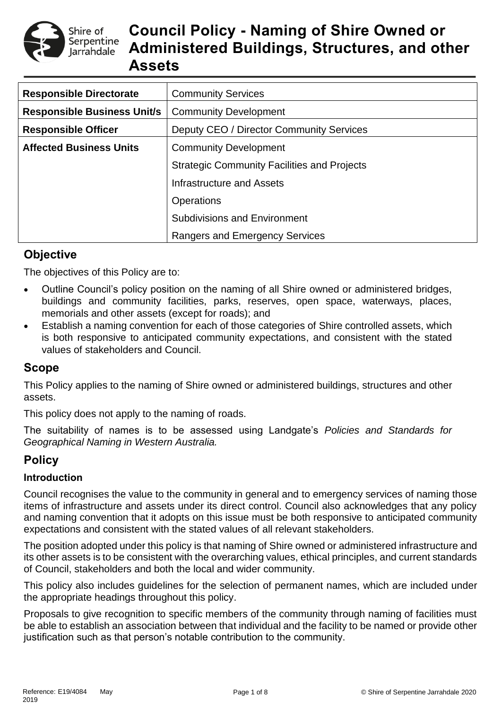

# **Council Policy - Naming of Shire Owned or Administered Buildings, Structures, and other Assets**

| <b>Responsible Directorate</b>     | <b>Community Services</b>                          |  |  |  |
|------------------------------------|----------------------------------------------------|--|--|--|
| <b>Responsible Business Unit/s</b> | <b>Community Development</b>                       |  |  |  |
| <b>Responsible Officer</b>         | Deputy CEO / Director Community Services           |  |  |  |
| <b>Affected Business Units</b>     | <b>Community Development</b>                       |  |  |  |
|                                    | <b>Strategic Community Facilities and Projects</b> |  |  |  |
|                                    | Infrastructure and Assets                          |  |  |  |
|                                    | <b>Operations</b>                                  |  |  |  |
|                                    | <b>Subdivisions and Environment</b>                |  |  |  |
|                                    | <b>Rangers and Emergency Services</b>              |  |  |  |

# **Objective**

The objectives of this Policy are to:

- Outline Council's policy position on the naming of all Shire owned or administered bridges, buildings and community facilities, parks, reserves, open space, waterways, places, memorials and other assets (except for roads); and
- Establish a naming convention for each of those categories of Shire controlled assets, which is both responsive to anticipated community expectations, and consistent with the stated values of stakeholders and Council.

# **Scope**

This Policy applies to the naming of Shire owned or administered buildings, structures and other assets.

This policy does not apply to the naming of roads.

The suitability of names is to be assessed using Landgate's *Policies and Standards for Geographical Naming in Western Australia.*

# **Policy**

### **Introduction**

Council recognises the value to the community in general and to emergency services of naming those items of infrastructure and assets under its direct control. Council also acknowledges that any policy and naming convention that it adopts on this issue must be both responsive to anticipated community expectations and consistent with the stated values of all relevant stakeholders.

The position adopted under this policy is that naming of Shire owned or administered infrastructure and its other assets is to be consistent with the overarching values, ethical principles, and current standards of Council, stakeholders and both the local and wider community.

This policy also includes guidelines for the selection of permanent names, which are included under the appropriate headings throughout this policy.

Proposals to give recognition to specific members of the community through naming of facilities must be able to establish an association between that individual and the facility to be named or provide other justification such as that person's notable contribution to the community.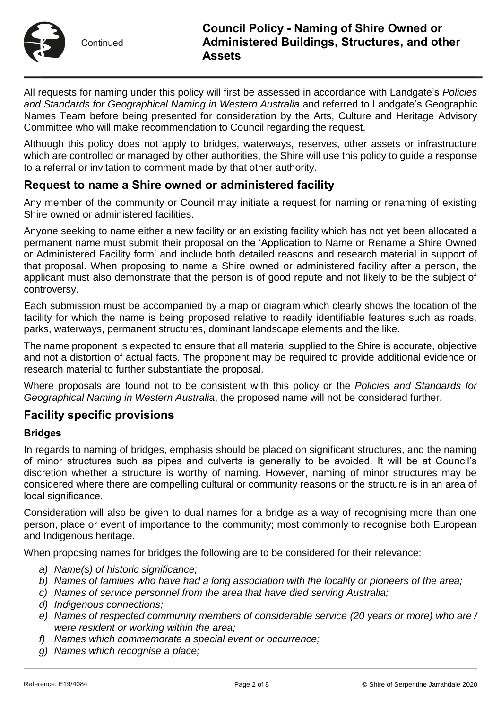

All requests for naming under this policy will first be assessed in accordance with Landgate's *Policies and Standards for Geographical Naming in Western Australia* and referred to Landgate's Geographic Names Team before being presented for consideration by the Arts, Culture and Heritage Advisory Committee who will make recommendation to Council regarding the request.

Although this policy does not apply to bridges, waterways, reserves, other assets or infrastructure which are controlled or managed by other authorities, the Shire will use this policy to quide a response to a referral or invitation to comment made by that other authority.

# **Request to name a Shire owned or administered facility**

Any member of the community or Council may initiate a request for naming or renaming of existing Shire owned or administered facilities.

Anyone seeking to name either a new facility or an existing facility which has not yet been allocated a permanent name must submit their proposal on the 'Application to Name or Rename a Shire Owned or Administered Facility form' and include both detailed reasons and research material in support of that proposal. When proposing to name a Shire owned or administered facility after a person, the applicant must also demonstrate that the person is of good repute and not likely to be the subject of controversy.

Each submission must be accompanied by a map or diagram which clearly shows the location of the facility for which the name is being proposed relative to readily identifiable features such as roads, parks, waterways, permanent structures, dominant landscape elements and the like.

The name proponent is expected to ensure that all material supplied to the Shire is accurate, objective and not a distortion of actual facts. The proponent may be required to provide additional evidence or research material to further substantiate the proposal.

Where proposals are found not to be consistent with this policy or the *Policies and Standards for Geographical Naming in Western Australia*, the proposed name will not be considered further.

### **Facility specific provisions**

### **Bridges**

In regards to naming of bridges, emphasis should be placed on significant structures, and the naming of minor structures such as pipes and culverts is generally to be avoided. It will be at Council's discretion whether a structure is worthy of naming. However, naming of minor structures may be considered where there are compelling cultural or community reasons or the structure is in an area of local significance.

Consideration will also be given to dual names for a bridge as a way of recognising more than one person, place or event of importance to the community; most commonly to recognise both European and Indigenous heritage.

When proposing names for bridges the following are to be considered for their relevance:

- *a) Name(s) of historic significance;*
- *b) Names of families who have had a long association with the locality or pioneers of the area;*
- *c) Names of service personnel from the area that have died serving Australia;*
- *d) Indigenous connections;*
- *e) Names of respected community members of considerable service (20 years or more) who are / were resident or working within the area;*
- *f) Names which commemorate a special event or occurrence;*
- *g) Names which recognise a place;*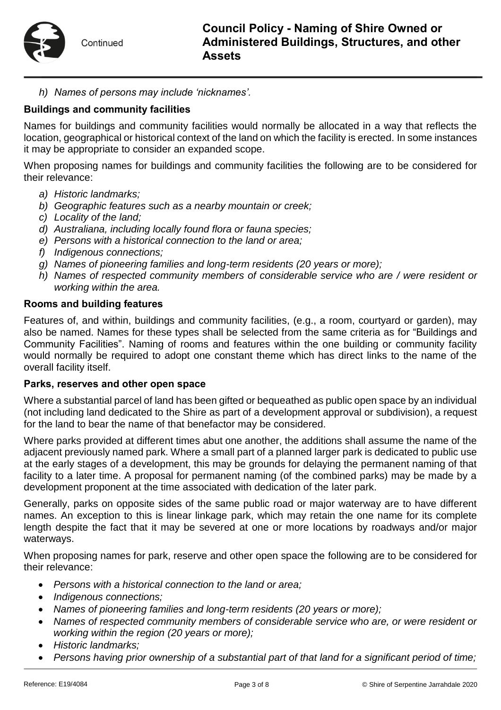*h) Names of persons may include 'nicknames'.*

# **Buildings and community facilities**

Names for buildings and community facilities would normally be allocated in a way that reflects the location, geographical or historical context of the land on which the facility is erected. In some instances it may be appropriate to consider an expanded scope.

When proposing names for buildings and community facilities the following are to be considered for their relevance:

- *a) Historic landmarks;*
- *b) Geographic features such as a nearby mountain or creek;*
- *c) Locality of the land;*
- *d) Australiana, including locally found flora or fauna species;*
- *e) Persons with a historical connection to the land or area;*
- *f) Indigenous connections;*
- *g) Names of pioneering families and long-term residents (20 years or more);*
- *h) Names of respected community members of considerable service who are / were resident or working within the area.*

#### **Rooms and building features**

Features of, and within, buildings and community facilities, (e.g., a room, courtyard or garden), may also be named. Names for these types shall be selected from the same criteria as for "Buildings and Community Facilities". Naming of rooms and features within the one building or community facility would normally be required to adopt one constant theme which has direct links to the name of the overall facility itself.

#### **Parks, reserves and other open space**

Where a substantial parcel of land has been gifted or bequeathed as public open space by an individual (not including land dedicated to the Shire as part of a development approval or subdivision), a request for the land to bear the name of that benefactor may be considered.

Where parks provided at different times abut one another, the additions shall assume the name of the adjacent previously named park. Where a small part of a planned larger park is dedicated to public use at the early stages of a development, this may be grounds for delaying the permanent naming of that facility to a later time. A proposal for permanent naming (of the combined parks) may be made by a development proponent at the time associated with dedication of the later park.

Generally, parks on opposite sides of the same public road or major waterway are to have different names. An exception to this is linear linkage park, which may retain the one name for its complete length despite the fact that it may be severed at one or more locations by roadways and/or major waterways.

When proposing names for park, reserve and other open space the following are to be considered for their relevance:

- *Persons with a historical connection to the land or area;*
- *Indigenous connections;*
- *Names of pioneering families and long-term residents (20 years or more);*
- *Names of respected community members of considerable service who are, or were resident or working within the region (20 years or more);*
- *Historic landmarks;*
- *Persons having prior ownership of a substantial part of that land for a significant period of time;*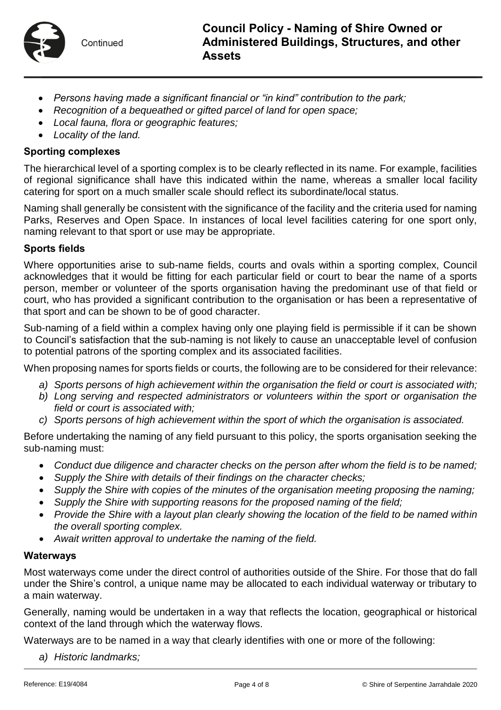

- *Persons having made a significant financial or "in kind" contribution to the park;*
- *Recognition of a bequeathed or gifted parcel of land for open space;*
- *Local fauna, flora or geographic features;*
- *Locality of the land.*

#### **Sporting complexes**

The hierarchical level of a sporting complex is to be clearly reflected in its name. For example, facilities of regional significance shall have this indicated within the name, whereas a smaller local facility catering for sport on a much smaller scale should reflect its subordinate/local status.

Naming shall generally be consistent with the significance of the facility and the criteria used for naming Parks, Reserves and Open Space. In instances of local level facilities catering for one sport only, naming relevant to that sport or use may be appropriate.

#### **Sports fields**

Where opportunities arise to sub-name fields, courts and ovals within a sporting complex, Council acknowledges that it would be fitting for each particular field or court to bear the name of a sports person, member or volunteer of the sports organisation having the predominant use of that field or court, who has provided a significant contribution to the organisation or has been a representative of that sport and can be shown to be of good character.

Sub-naming of a field within a complex having only one playing field is permissible if it can be shown to Council's satisfaction that the sub-naming is not likely to cause an unacceptable level of confusion to potential patrons of the sporting complex and its associated facilities.

When proposing names for sports fields or courts, the following are to be considered for their relevance:

- *a) Sports persons of high achievement within the organisation the field or court is associated with;*
- *b) Long serving and respected administrators or volunteers within the sport or organisation the field or court is associated with;*
- *c) Sports persons of high achievement within the sport of which the organisation is associated.*

Before undertaking the naming of any field pursuant to this policy, the sports organisation seeking the sub-naming must:

- *Conduct due diligence and character checks on the person after whom the field is to be named;*
- *Supply the Shire with details of their findings on the character checks;*
- *Supply the Shire with copies of the minutes of the organisation meeting proposing the naming;*
- *Supply the Shire with supporting reasons for the proposed naming of the field;*
- *Provide the Shire with a layout plan clearly showing the location of the field to be named within the overall sporting complex.*
- *Await written approval to undertake the naming of the field.*

#### **Waterways**

Most waterways come under the direct control of authorities outside of the Shire. For those that do fall under the Shire's control, a unique name may be allocated to each individual waterway or tributary to a main waterway.

Generally, naming would be undertaken in a way that reflects the location, geographical or historical context of the land through which the waterway flows.

Waterways are to be named in a way that clearly identifies with one or more of the following:

*a) Historic landmarks;*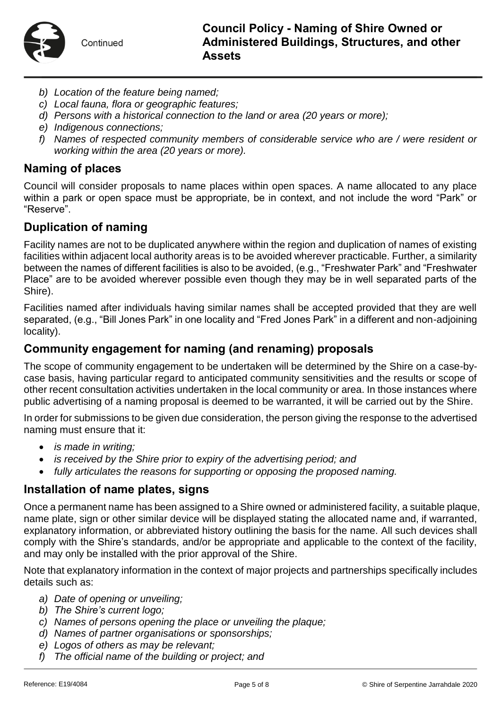

- *b) Location of the feature being named;*
- *c) Local fauna, flora or geographic features;*
- *d) Persons with a historical connection to the land or area (20 years or more);*
- *e) Indigenous connections;*
- *f) Names of respected community members of considerable service who are / were resident or working within the area (20 years or more).*

### **Naming of places**

Council will consider proposals to name places within open spaces. A name allocated to any place within a park or open space must be appropriate, be in context, and not include the word "Park" or "Reserve".

### **Duplication of naming**

Facility names are not to be duplicated anywhere within the region and duplication of names of existing facilities within adjacent local authority areas is to be avoided wherever practicable. Further, a similarity between the names of different facilities is also to be avoided, (e.g., "Freshwater Park" and "Freshwater Place" are to be avoided wherever possible even though they may be in well separated parts of the Shire).

Facilities named after individuals having similar names shall be accepted provided that they are well separated, (e.g., "Bill Jones Park" in one locality and "Fred Jones Park" in a different and non-adjoining locality).

### **Community engagement for naming (and renaming) proposals**

The scope of community engagement to be undertaken will be determined by the Shire on a case-bycase basis, having particular regard to anticipated community sensitivities and the results or scope of other recent consultation activities undertaken in the local community or area. In those instances where public advertising of a naming proposal is deemed to be warranted, it will be carried out by the Shire.

In order for submissions to be given due consideration, the person giving the response to the advertised naming must ensure that it:

- *is made in writing;*
- *is received by the Shire prior to expiry of the advertising period; and*
- *fully articulates the reasons for supporting or opposing the proposed naming.*

### **Installation of name plates, signs**

Once a permanent name has been assigned to a Shire owned or administered facility, a suitable plaque, name plate, sign or other similar device will be displayed stating the allocated name and, if warranted, explanatory information, or abbreviated history outlining the basis for the name. All such devices shall comply with the Shire's standards, and/or be appropriate and applicable to the context of the facility, and may only be installed with the prior approval of the Shire.

Note that explanatory information in the context of major projects and partnerships specifically includes details such as:

- *a) Date of opening or unveiling;*
- *b) The Shire's current logo;*
- *c) Names of persons opening the place or unveiling the plaque;*
- *d) Names of partner organisations or sponsorships;*
- *e) Logos of others as may be relevant;*
- *f) The official name of the building or project; and*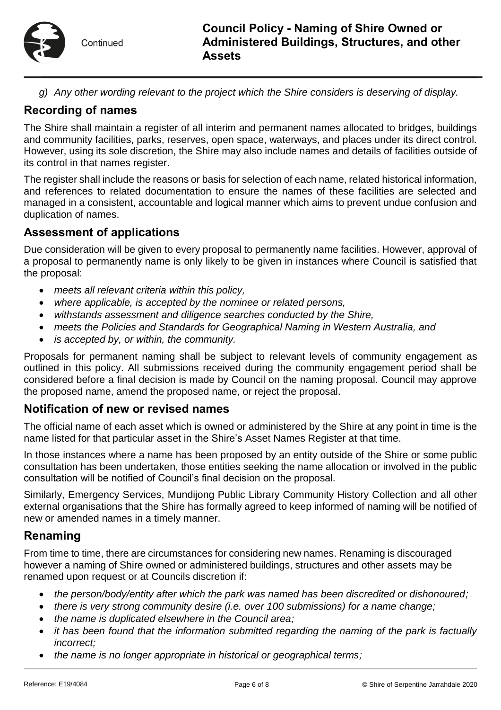*g) Any other wording relevant to the project which the Shire considers is deserving of display.*

# **Recording of names**

The Shire shall maintain a register of all interim and permanent names allocated to bridges, buildings and community facilities, parks, reserves, open space, waterways, and places under its direct control. However, using its sole discretion, the Shire may also include names and details of facilities outside of its control in that names register.

The register shall include the reasons or basis for selection of each name, related historical information, and references to related documentation to ensure the names of these facilities are selected and managed in a consistent, accountable and logical manner which aims to prevent undue confusion and duplication of names.

# **Assessment of applications**

Due consideration will be given to every proposal to permanently name facilities. However, approval of a proposal to permanently name is only likely to be given in instances where Council is satisfied that the proposal:

- *meets all relevant criteria within this policy,*
- *where applicable, is accepted by the nominee or related persons,*
- *withstands assessment and diligence searches conducted by the Shire,*
- *meets the Policies and Standards for Geographical Naming in Western Australia, and*
- *is accepted by, or within, the community.*

Proposals for permanent naming shall be subject to relevant levels of community engagement as outlined in this policy. All submissions received during the community engagement period shall be considered before a final decision is made by Council on the naming proposal. Council may approve the proposed name, amend the proposed name, or reject the proposal.

### **Notification of new or revised names**

The official name of each asset which is owned or administered by the Shire at any point in time is the name listed for that particular asset in the Shire's Asset Names Register at that time.

In those instances where a name has been proposed by an entity outside of the Shire or some public consultation has been undertaken, those entities seeking the name allocation or involved in the public consultation will be notified of Council's final decision on the proposal.

Similarly, Emergency Services, Mundijong Public Library Community History Collection and all other external organisations that the Shire has formally agreed to keep informed of naming will be notified of new or amended names in a timely manner.

# **Renaming**

From time to time, there are circumstances for considering new names. Renaming is discouraged however a naming of Shire owned or administered buildings, structures and other assets may be renamed upon request or at Councils discretion if:

- *the person/body/entity after which the park was named has been discredited or dishonoured;*
- *there is very strong community desire (i.e. over 100 submissions) for a name change;*
- *the name is duplicated elsewhere in the Council area;*
- *it has been found that the information submitted regarding the naming of the park is factually incorrect;*
- *the name is no longer appropriate in historical or geographical terms;*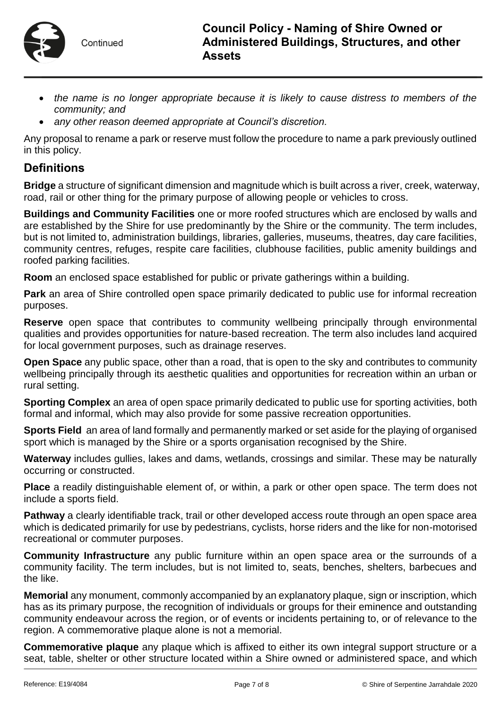

- the name is no longer appropriate because it is likely to cause distress to members of the *community; and*
- *any other reason deemed appropriate at Council's discretion.*

Any proposal to rename a park or reserve must follow the procedure to name a park previously outlined in this policy.

# **Definitions**

**Bridge** a structure of significant dimension and magnitude which is built across a river, creek, waterway, road, rail or other thing for the primary purpose of allowing people or vehicles to cross.

**Buildings and Community Facilities** one or more roofed structures which are enclosed by walls and are established by the Shire for use predominantly by the Shire or the community. The term includes, but is not limited to, administration buildings, libraries, galleries, museums, theatres, day care facilities, community centres, refuges, respite care facilities, clubhouse facilities, public amenity buildings and roofed parking facilities.

**Room** an enclosed space established for public or private gatherings within a building.

**Park** an area of Shire controlled open space primarily dedicated to public use for informal recreation purposes.

**Reserve** open space that contributes to community wellbeing principally through environmental qualities and provides opportunities for nature-based recreation. The term also includes land acquired for local government purposes, such as drainage reserves.

**Open Space** any public space, other than a road, that is open to the sky and contributes to community wellbeing principally through its aesthetic qualities and opportunities for recreation within an urban or rural setting.

**Sporting Complex** an area of open space primarily dedicated to public use for sporting activities, both formal and informal, which may also provide for some passive recreation opportunities.

**Sports Field** an area of land formally and permanently marked or set aside for the playing of organised sport which is managed by the Shire or a sports organisation recognised by the Shire.

**Waterway** includes gullies, lakes and dams, wetlands, crossings and similar. These may be naturally occurring or constructed.

**Place** a readily distinguishable element of, or within, a park or other open space. The term does not include a sports field.

**Pathway** a clearly identifiable track, trail or other developed access route through an open space area which is dedicated primarily for use by pedestrians, cyclists, horse riders and the like for non-motorised recreational or commuter purposes.

**Community Infrastructure** any public furniture within an open space area or the surrounds of a community facility. The term includes, but is not limited to, seats, benches, shelters, barbecues and the like.

**Memorial** any monument, commonly accompanied by an explanatory plaque, sign or inscription, which has as its primary purpose, the recognition of individuals or groups for their eminence and outstanding community endeavour across the region, or of events or incidents pertaining to, or of relevance to the region. A commemorative plaque alone is not a memorial.

**Commemorative plaque** any plaque which is affixed to either its own integral support structure or a seat, table, shelter or other structure located within a Shire owned or administered space, and which